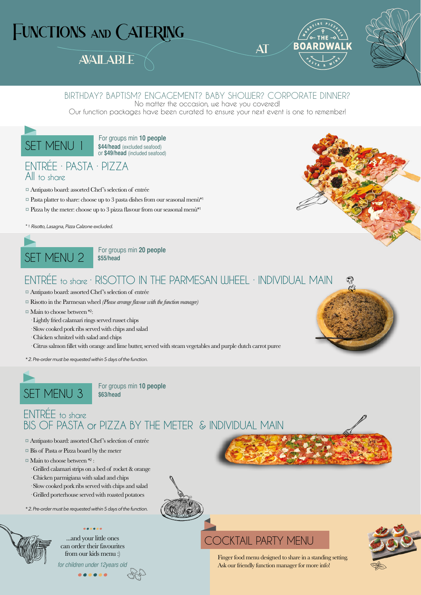# FUNCTIONS AND CATERING

## **AVAILABLE**





### BIRTHDAY? BAPTISM? ENGAGEMENT? BABY SHOWER? CORPORATE DINNER?

No matter the occasion, we have you covered!

Our function packages have been curated to ensure your next event is one to remember!



**\$44/head** (excluded seafood) or **\$49/head** (included seafood)

### ENTRÉE · PASTA · PIZZA All to share

- ¤ Antipasto board: assorted Chef's selection of entrée
- $\heartsuit$  Pasta platter to share: choose up to 3 pasta dishes from our seasonal menù\*1
- $\Box$  Pizza by the meter: choose up to 3 pizza flavour from our seasonal menù\*1
- *\* 1. Risotto, Lasagna, Pizza Calzone excluded.*



**\$55/head**

### ENTRÉE to share · RISOTTO IN THE PARMESAN WHEEL · INDIVIDUAL MAIN

- ¤ Antipasto board: assorted Chef's selection of entrée
- ¤ Risotto in the Parmesan wheel *(Please arrange flavour with the function manager)*
- ¤ Main to choose between \*2:
	- · Lightly fried calamari rings served russet chips
	- · Slow cooked pork ribs served with chips and salad
	- · Chicken schnitzel with salad and chips
	- · Citrus salmon fillet with orange and lime butter, served with steam vegetables and purple dutch carrot puree

*\* 2. Pre-order must be requested within 5 days of the function.*



**\$63/head**

### ENTRÉE to share BIS OF PASTA or PIZZA BY THE METER & INDIVIDUAL MAIN

- ¤ Antipasto board: assorted Chef's selection of entrée
- ¤ Bis of Pasta *or* Pizza board by the meter
- $\Box$  Main to choose between  $*2$ :
	- · Grilled calamari strips on a bed of rocket & orange
	- · Chicken parmigiana with salad and chips
	- · Slow cooked pork ribs served with chips and salad
	- · Grilled porterhouse served with roasted potatoes

*\* 2. Pre-order must be requested within 5 days of the function.*

...and your little ones can order their favourites from our kids menu :) for children under 12years old



### COCKTAIL PARTY MENU

Finger food menu designed to share in a standing setting. Ask our friendly function manager for more info!